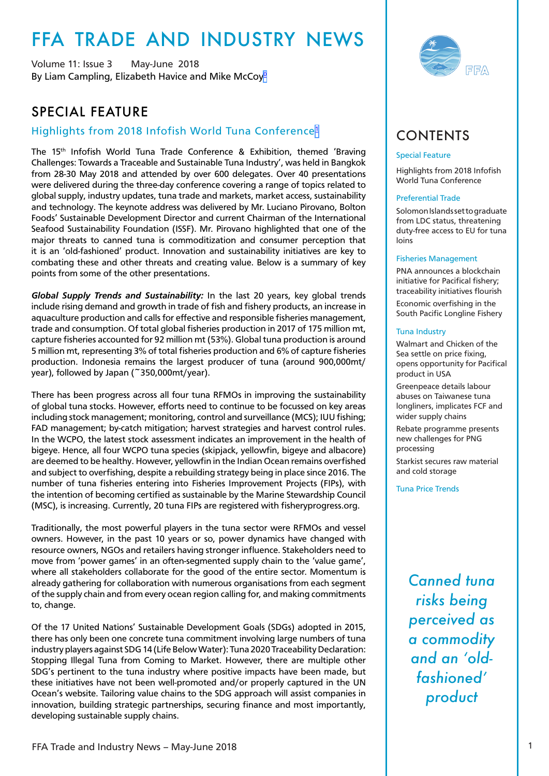# <span id="page-0-0"></span>FFA TRADE AND INDUSTRY NEWS

Volume 11: Issue 3 May-June 2018 By Liam Campling, Elizabeth Havice and Mike McCoy<sup>[0](#page-15-0)</sup>

# SPECIAL FEATURE

### Highlights from 2018 Infofish World Tuna Conference[1](#page-15-0)

The 15<sup>th</sup> Infofish World Tuna Trade Conference & Exhibition, themed 'Braving Challenges: Towards a Traceable and Sustainable Tuna Industry', was held in Bangkok from 28-30 May 2018 and attended by over 600 delegates. Over 40 presentations were delivered during the three-day conference covering a range of topics related to global supply, industry updates, tuna trade and markets, market access, sustainability and technology. The keynote address was delivered by Mr. Luciano Pirovano, Bolton Foods' Sustainable Development Director and current Chairman of the International Seafood Sustainability Foundation (ISSF). Mr. Pirovano highlighted that one of the major threats to canned tuna is commoditization and consumer perception that it is an 'old-fashioned' product. Innovation and sustainability initiatives are key to combating these and other threats and creating value. Below is a summary of key points from some of the other presentations.

*Global Supply Trends and Sustainability:* In the last 20 years, key global trends include rising demand and growth in trade of fish and fishery products, an increase in aquaculture production and calls for effective and responsible fisheries management, trade and consumption. Of total global fisheries production in 2017 of 175 million mt, capture fisheries accounted for 92 million mt (53%). Global tuna production is around 5 million mt, representing 3% of total fisheries production and 6% of capture fisheries production. Indonesia remains the largest producer of tuna (around 900,000mt/ year), followed by Japan (~350,000mt/year).

There has been progress across all four tuna RFMOs in improving the sustainability of global tuna stocks. However, efforts need to continue to be focussed on key areas including stock management; monitoring, control and surveillance (MCS); IUU fishing; FAD management; by-catch mitigation; harvest strategies and harvest control rules. In the WCPO, the latest stock assessment indicates an improvement in the health of bigeye. Hence, all four WCPO tuna species (skipjack, yellowfin, bigeye and albacore) are deemed to be healthy. However, yellowfin in the Indian Ocean remains overfished and subject to overfishing, despite a rebuilding strategy being in place since 2016. The number of tuna fisheries entering into Fisheries Improvement Projects (FIPs), with the intention of becoming certified as sustainable by the Marine Stewardship Council (MSC), is increasing. Currently, 20 tuna FIPs are registered with fisheryprogress.org.

Traditionally, the most powerful players in the tuna sector were RFMOs and vessel owners. However, in the past 10 years or so, power dynamics have changed with resource owners, NGOs and retailers having stronger influence. Stakeholders need to move from 'power games' in an often-segmented supply chain to the 'value game', where all stakeholders collaborate for the good of the entire sector. Momentum is already gathering for collaboration with numerous organisations from each segment of the supply chain and from every ocean region calling for, and making commitments to, change.

Of the 17 United Nations' Sustainable Development Goals (SDGs) adopted in 2015, there has only been one concrete tuna commitment involving large numbers of tuna industry players against SDG 14 (Life Below Water): Tuna 2020 Traceability Declaration: Stopping Illegal Tuna from Coming to Market. However, there are multiple other SDG's pertinent to the tuna industry where positive impacts have been made, but these initiatives have not been well-promoted and/or properly captured in the UN Ocean's website. Tailoring value chains to the SDG approach will assist companies in innovation, building strategic partnerships, securing finance and most importantly, developing sustainable supply chains.



# CONTENTS

#### Special Feature

Highlights from 2018 Infofish World Tuna Conference

#### Preferential Trade

Solomon Islands set to graduate from LDC status, threatening duty-free access to EU for tuna loins

#### Fisheries Management

PNA announces a blockchain initiative for Pacifical fishery; traceability initiatives flourish

Economic overfishing in the South Pacific Longline Fishery

#### Tuna Industry

Walmart and Chicken of the Sea settle on price fixing, opens opportunity for Pacifical product in USA

Greenpeace details labour abuses on Taiwanese tuna longliners, implicates FCF and wider supply chains

Rebate programme presents new challenges for PNG processing

Starkist secures raw material and cold storage

Tuna Price Trends

*Canned tuna risks being perceived as a commodity and an 'oldfashioned' product*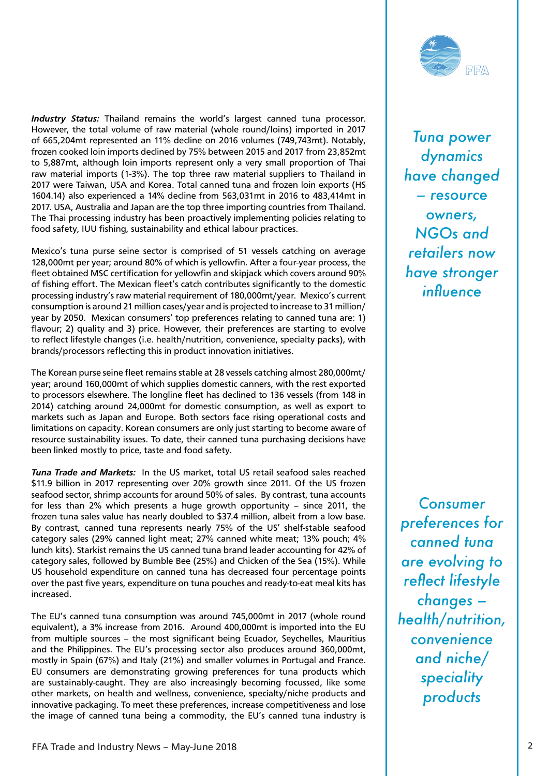*Industry Status:* Thailand remains the world's largest canned tuna processor. However, the total volume of raw material (whole round/loins) imported in 2017 of 665,204mt represented an 11% decline on 2016 volumes (749,743mt). Notably, frozen cooked loin imports declined by 75% between 2015 and 2017 from 23,852mt to 5,887mt, although loin imports represent only a very small proportion of Thai raw material imports (1-3%). The top three raw material suppliers to Thailand in 2017 were Taiwan, USA and Korea. Total canned tuna and frozen loin exports (HS 1604.14) also experienced a 14% decline from 563,031mt in 2016 to 483,414mt in 2017. USA, Australia and Japan are the top three importing countries from Thailand. The Thai processing industry has been proactively implementing policies relating to food safety, IUU fishing, sustainability and ethical labour practices.

Mexico's tuna purse seine sector is comprised of 51 vessels catching on average 128,000mt per year; around 80% of which is yellowfin. After a four-year process, the fleet obtained MSC certification for yellowfin and skipjack which covers around 90% of fishing effort. The Mexican fleet's catch contributes significantly to the domestic processing industry's raw material requirement of 180,000mt/year. Mexico's current consumption is around 21 million cases/year and is projected to increase to 31 million/ year by 2050. Mexican consumers' top preferences relating to canned tuna are: 1) flavour; 2) quality and 3) price. However, their preferences are starting to evolve to reflect lifestyle changes (i.e. health/nutrition, convenience, specialty packs), with brands/processors reflecting this in product innovation initiatives.

The Korean purse seine fleet remains stable at 28 vessels catching almost 280,000mt/ year; around 160,000mt of which supplies domestic canners, with the rest exported to processors elsewhere. The longline fleet has declined to 136 vessels (from 148 in 2014) catching around 24,000mt for domestic consumption, as well as export to markets such as Japan and Europe. Both sectors face rising operational costs and limitations on capacity. Korean consumers are only just starting to become aware of resource sustainability issues. To date, their canned tuna purchasing decisions have been linked mostly to price, taste and food safety.

*Tuna Trade and Markets:* In the US market, total US retail seafood sales reached \$11.9 billion in 2017 representing over 20% growth since 2011. Of the US frozen seafood sector, shrimp accounts for around 50% of sales. By contrast, tuna accounts for less than 2% which presents a huge growth opportunity – since 2011, the frozen tuna sales value has nearly doubled to \$37.4 million, albeit from a low base. By contrast, canned tuna represents nearly 75% of the US' shelf-stable seafood category sales (29% canned light meat; 27% canned white meat; 13% pouch; 4% lunch kits). Starkist remains the US canned tuna brand leader accounting for 42% of category sales, followed by Bumble Bee (25%) and Chicken of the Sea (15%). While US household expenditure on canned tuna has decreased four percentage points over the past five years, expenditure on tuna pouches and ready-to-eat meal kits has increased.

The EU's canned tuna consumption was around 745,000mt in 2017 (whole round equivalent), a 3% increase from 2016. Around 400,000mt is imported into the EU from multiple sources – the most significant being Ecuador, Seychelles, Mauritius and the Philippines. The EU's processing sector also produces around 360,000mt, mostly in Spain (67%) and Italy (21%) and smaller volumes in Portugal and France. EU consumers are demonstrating growing preferences for tuna products which are sustainably-caught. They are also increasingly becoming focussed, like some other markets, on health and wellness, convenience, specialty/niche products and innovative packaging. To meet these preferences, increase competitiveness and lose the image of canned tuna being a commodity, the EU's canned tuna industry is



*Tuna power dynamics have changed – resource owners, NGOs and retailers now have stronger influence*

*Consumer preferences for canned tuna are evolving to reflect lifestyle changes – health/nutrition, convenience and niche/ speciality products*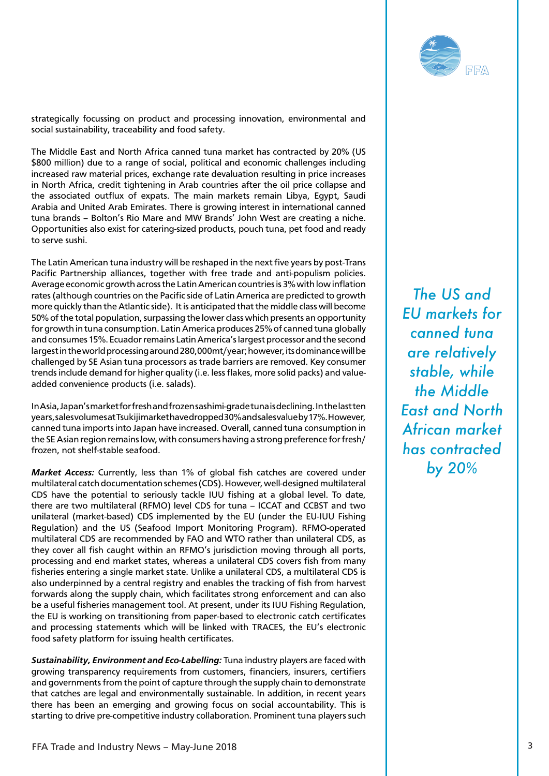

strategically focussing on product and processing innovation, environmental and social sustainability, traceability and food safety.

The Middle East and North Africa canned tuna market has contracted by 20% (US \$800 million) due to a range of social, political and economic challenges including increased raw material prices, exchange rate devaluation resulting in price increases in North Africa, credit tightening in Arab countries after the oil price collapse and the associated outflux of expats. The main markets remain Libya, Egypt, Saudi Arabia and United Arab Emirates. There is growing interest in international canned tuna brands – Bolton's Rio Mare and MW Brands' John West are creating a niche. Opportunities also exist for catering-sized products, pouch tuna, pet food and ready to serve sushi.

The Latin American tuna industry will be reshaped in the next five years by post-Trans Pacific Partnership alliances, together with free trade and anti-populism policies. Average economic growth across the Latin American countries is 3% with low inflation rates (although countries on the Pacific side of Latin America are predicted to growth more quickly than the Atlantic side). It is anticipated that the middle class will become 50% of the total population, surpassing the lower class which presents an opportunity for growth in tuna consumption. Latin America produces 25% of canned tuna globally and consumes 15%. Ecuador remains Latin America's largest processor and the second largest in the world processing around 280,000mt/year; however, its dominance will be challenged by SE Asian tuna processors as trade barriers are removed. Key consumer trends include demand for higher quality (i.e. less flakes, more solid packs) and valueadded convenience products (i.e. salads).

In Asia, Japan's market for fresh and frozen sashimi-grade tuna is declining. In the last ten years, sales volumes at Tsukiji market have dropped 30% and sales value by 17%. However, canned tuna imports into Japan have increased. Overall, canned tuna consumption in the SE Asian region remains low, with consumers having a strong preference for fresh/ frozen, not shelf-stable seafood.

*Market Access:* Currently, less than 1% of global fish catches are covered under multilateral catch documentation schemes (CDS). However, well-designed multilateral CDS have the potential to seriously tackle IUU fishing at a global level. To date, there are two multilateral (RFMO) level CDS for tuna – ICCAT and CCBST and two unilateral (market-based) CDS implemented by the EU (under the EU-IUU Fishing Regulation) and the US (Seafood Import Monitoring Program). RFMO-operated multilateral CDS are recommended by FAO and WTO rather than unilateral CDS, as they cover all fish caught within an RFMO's jurisdiction moving through all ports, processing and end market states, whereas a unilateral CDS covers fish from many fisheries entering a single market state. Unlike a unilateral CDS, a multilateral CDS is also underpinned by a central registry and enables the tracking of fish from harvest forwards along the supply chain, which facilitates strong enforcement and can also be a useful fisheries management tool. At present, under its IUU Fishing Regulation, the EU is working on transitioning from paper-based to electronic catch certificates and processing statements which will be linked with TRACES, the EU's electronic food safety platform for issuing health certificates.

*Sustainability, Environment and Eco-Labelling:* Tuna industry players are faced with growing transparency requirements from customers, financiers, insurers, certifiers and governments from the point of capture through the supply chain to demonstrate that catches are legal and environmentally sustainable. In addition, in recent years there has been an emerging and growing focus on social accountability. This is starting to drive pre-competitive industry collaboration. Prominent tuna players such

*The US and EU markets for canned tuna are relatively stable, while the Middle East and North African market has contracted by 20%*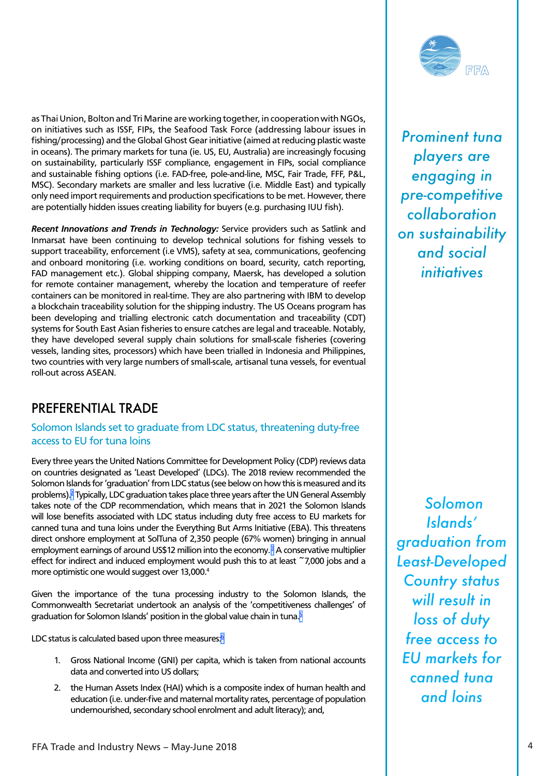<span id="page-3-0"></span>as Thai Union, Bolton and Tri Marine are working together, in cooperation with NGOs, on initiatives such as ISSF, FIPs, the Seafood Task Force (addressing labour issues in fishing/processing) and the Global Ghost Gear initiative (aimed at reducing plastic waste in oceans). The primary markets for tuna (ie. US, EU, Australia) are increasingly focusing on sustainability, particularly ISSF compliance, engagement in FIPs, social compliance and sustainable fishing options (i.e. FAD-free, pole-and-line, MSC, Fair Trade, FFF, P&L, MSC). Secondary markets are smaller and less lucrative (i.e. Middle East) and typically only need import requirements and production specifications to be met. However, there are potentially hidden issues creating liability for buyers (e.g. purchasing IUU fish).

*Recent Innovations and Trends in Technology:* Service providers such as Satlink and Inmarsat have been continuing to develop technical solutions for fishing vessels to support traceability, enforcement (i.e VMS), safety at sea, communications, geofencing and onboard monitoring (i.e. working conditions on board, security, catch reporting, FAD management etc.). Global shipping company, Maersk, has developed a solution for remote container management, whereby the location and temperature of reefer containers can be monitored in real-time. They are also partnering with IBM to develop a blockchain traceability solution for the shipping industry. The US Oceans program has been developing and trialling electronic catch documentation and traceability (CDT) systems for South East Asian fisheries to ensure catches are legal and traceable. Notably, they have developed several supply chain solutions for small-scale fisheries (covering vessels, landing sites, processors) which have been trialled in Indonesia and Philippines, two countries with very large numbers of small-scale, artisanal tuna vessels, for eventual roll-out across ASEAN.

## PREFERENTIAL TRADE

### Solomon Islands set to graduate from LDC status, threatening duty-free access to EU for tuna loins

Every three years the United Nations Committee for Development Policy (CDP) reviews data on countries designated as 'Least Developed' (LDCs). The 2018 review recommended the Solomon Islands for 'graduation' from LDC status (see below on how this is measured and its problems).<sup>2</sup> Typically, LDC graduation takes place three years after the UN General Assembly takes note of the CDP recommendation, which means that in 2021 the Solomon Islands will lose benefits associated with LDC status including duty free access to EU markets for canned tuna and tuna loins under the Everything But Arms Initiative (EBA). This threatens direct onshore employment at SolTuna of 2,350 people (67% women) bringing in annual employment earnings of around US\$12 million into the economy. $^3$  $^3$  A conservative multiplier effect for indirect and induced employment would push this to at least ~7,000 jobs and a more optimistic one would suggest over 13,000.<sup>4</sup>

Given the importance of the tuna processing industry to the Solomon Islands, the Commonwealth Secretariat undertook an analysis of the 'competitiveness challenges' of graduation for Solomon Islands' position in the global value chain in tuna.<sup>5</sup>

LDC status is calculated based upon three measures:<sup>6</sup>

- 1. Gross National Income (GNI) per capita, which is taken from national accounts data and converted into US dollars;
- 2. the Human Assets Index (HAI) which is a composite index of human health and education (i.e. under-five and maternal mortality rates, percentage of population undernourished, secondary school enrolment and adult literacy); and,

 *Solomon Islands' graduation from Least-Developed Country status will result in loss of duty free access to EU markets for canned tuna and loins*



*Prominent tuna players are engaging in pre-competitive collaboration on sustainability and social initiatives*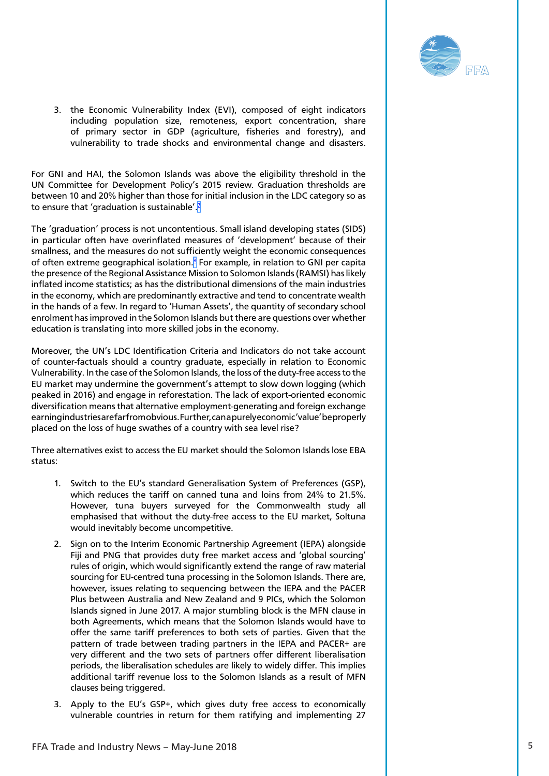

<span id="page-4-0"></span>3. the Economic Vulnerability Index (EVI), composed of eight indicators including population size, remoteness, export concentration, share of primary sector in GDP (agriculture, fisheries and forestry), and vulnerability to trade shocks and environmental change and disasters.

For GNI and HAI, the Solomon Islands was above the eligibility threshold in the UN Committee for Development Policy's 2015 review. Graduation thresholds are between 10 and 20% higher than those for initial inclusion in the LDC category so as to ensure that 'graduation is sustainable'.<sup>7</sup>

The 'graduation' process is not uncontentious. Small island developing states (SIDS) in particular often have overinflated measures of 'development' because of their smallness, and the measures do not sufficiently weight the economic consequences of often extreme geographical isolation.<sup>[8](#page-15-0)</sup> For example, in relation to GNI per capita the presence of the Regional Assistance Mission to Solomon Islands (RAMSI) has likely inflated income statistics; as has the distributional dimensions of the main industries in the economy, which are predominantly extractive and tend to concentrate wealth in the hands of a few. In regard to 'Human Assets', the quantity of secondary school enrolment has improved in the Solomon Islands but there are questions over whether education is translating into more skilled jobs in the economy.

Moreover, the UN's LDC Identification Criteria and Indicators do not take account of counter-factuals should a country graduate, especially in relation to Economic Vulnerability. In the case of the Solomon Islands, the loss of the duty-free access to the EU market may undermine the government's attempt to slow down logging (which peaked in 2016) and engage in reforestation. The lack of export-oriented economic diversification means that alternative employment-generating and foreign exchange earning industries are far from obvious. Further, can a purely economic 'value' be properly placed on the loss of huge swathes of a country with sea level rise?

Three alternatives exist to access the EU market should the Solomon Islands lose EBA status:

- 1. Switch to the EU's standard Generalisation System of Preferences (GSP), which reduces the tariff on canned tuna and loins from 24% to 21.5%. However, tuna buyers surveyed for the Commonwealth study all emphasised that without the duty-free access to the EU market, Soltuna would inevitably become uncompetitive.
- 2. Sign on to the Interim Economic Partnership Agreement (IEPA) alongside Fiji and PNG that provides duty free market access and 'global sourcing' rules of origin, which would significantly extend the range of raw material sourcing for EU-centred tuna processing in the Solomon Islands. There are, however, issues relating to sequencing between the IEPA and the PACER Plus between Australia and New Zealand and 9 PICs, which the Solomon Islands signed in June 2017. A major stumbling block is the MFN clause in both Agreements, which means that the Solomon Islands would have to offer the same tariff preferences to both sets of parties. Given that the pattern of trade between trading partners in the IEPA and PACER+ are very different and the two sets of partners offer different liberalisation periods, the liberalisation schedules are likely to widely differ. This implies additional tariff revenue loss to the Solomon Islands as a result of MFN clauses being triggered.
- 3. Apply to the EU's GSP+, which gives duty free access to economically vulnerable countries in return for them ratifying and implementing 27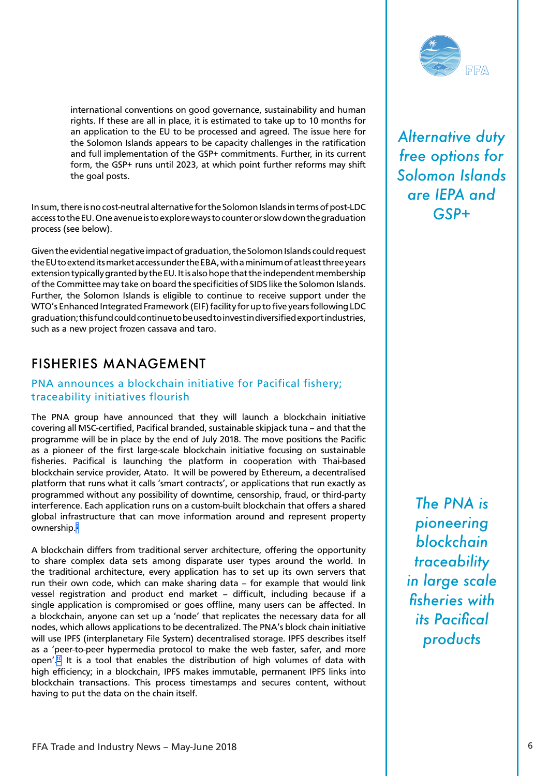<span id="page-5-0"></span>international conventions on good governance, sustainability and human rights. If these are all in place, it is estimated to take up to 10 months for an application to the EU to be processed and agreed. The issue here for the Solomon Islands appears to be capacity challenges in the ratification and full implementation of the GSP+ commitments. Further, in its current form, the GSP+ runs until 2023, at which point further reforms may shift the goal posts.

In sum, there is no cost-neutral alternative for the Solomon Islands in terms of post-LDC access to the EU. One avenue is to explore ways to counter or slow down the graduation process (see below).

Given the evidential negative impact of graduation, the Solomon Islands could request the EU to extend its market access under the EBA, with a minimum of at least three years extension typically granted by the EU. It is also hope that the independent membership of the Committee may take on board the specificities of SIDS like the Solomon Islands. Further, the Solomon Islands is eligible to continue to receive support under the WTO's Enhanced Integrated Framework (EIF) facility for up to five years following LDC graduation; this fund could continue to be used to invest in diversified export industries, such as a new project frozen cassava and taro.

# FISHERIES MANAGEMENT

### PNA announces a blockchain initiative for Pacifical fishery; traceability initiatives flourish

The PNA group have announced that they will launch a blockchain initiative covering all MSC-certified, Pacifical branded, sustainable skipjack tuna – and that the programme will be in place by the end of July 2018. The move positions the Pacific as a pioneer of the first large-scale blockchain initiative focusing on sustainable fisheries. Pacifical is launching the platform in cooperation with Thai-based blockchain service provider, Atato. It will be powered by Ethereum, a decentralised platform that runs what it calls 'smart contracts', or applications that run exactly as programmed without any possibility of downtime, censorship, fraud, or third-party interference. Each application runs on a custom-built blockchain that offers a shared global infrastructure that can move information around and represent property ownership.<sup>9</sup>

A blockchain differs from traditional server architecture, offering the opportunity to share complex data sets among disparate user types around the world. In the traditional architecture, every application has to set up its own servers that run their own code, which can make sharing data – for example that would link vessel registration and product end market – difficult, including because if a single application is compromised or goes offline, many users can be affected. In a blockchain, anyone can set up a 'node' that replicates the necessary data for all nodes, which allows applications to be decentralized. The PNA's block chain initiative will use IPFS (interplanetary File System) decentralised storage. IPFS describes itself as a 'peer-to-peer hypermedia protocol to make the web faster, safer, and more open'.<sup>10</sup> It is a tool that enables the distribution of high volumes of data with high efficiency; in a blockchain, IPFS makes immutable, permanent IPFS links into blockchain transactions. This process timestamps and secures content, without having to put the data on the chain itself.



*Alternative duty free options for Solomon Islands are IEPA and GSP+*

*The PNA is pioneering blockchain traceability in large scale fisheries with its Pacifical products*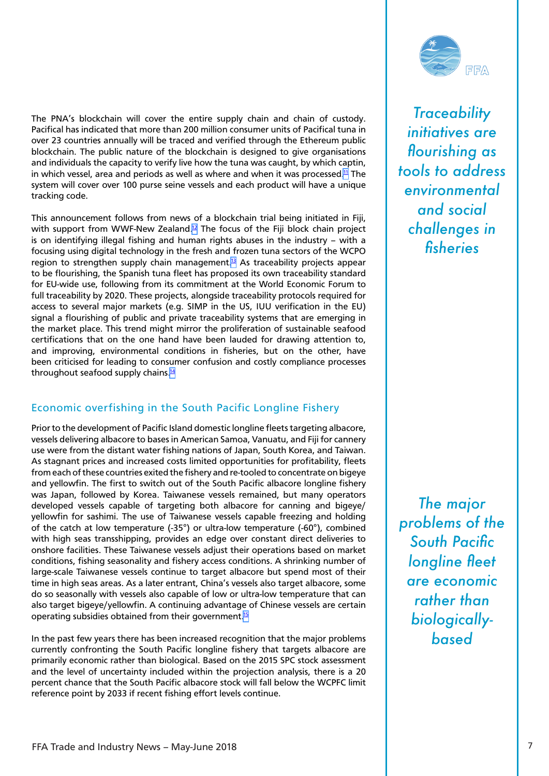<span id="page-6-0"></span>The PNA's blockchain will cover the entire supply chain and chain of custody. Pacifical has indicated that more than 200 million consumer units of Pacifical tuna in over 23 countries annually will be traced and verified through the Ethereum public blockchain. The public nature of the blockchain is designed to give organisations and individuals the capacity to verify live how the tuna was caught, by which captin, in which vessel, area and periods as well as where and when it was processed. $11$  The system will cover over 100 purse seine vessels and each product will have a unique tracking code.

This announcement follows from news of a blockchain trial being initiated in Fiji, with support from WWF-New Zealand.<sup>12</sup> The focus of the Fiji block chain project is on identifying illegal fishing and human rights abuses in the industry – with a focusing using digital technology in the fresh and frozen tuna sectors of the WCPO region to strengthen supply chain management. $13$  As traceability projects appear to be flourishing, the Spanish tuna fleet has proposed its own traceability standard for EU-wide use, following from its commitment at the World Economic Forum to full traceability by 2020. These projects, alongside traceability protocols required for access to several major markets (e.g. SIMP in the US, IUU verification in the EU) signal a flourishing of public and private traceability systems that are emerging in the market place. This trend might mirror the proliferation of sustainable seafood certifications that on the one hand have been lauded for drawing attention to, and improving, environmental conditions in fisheries, but on the other, have been criticised for leading to consumer confusion and costly compliance processes throughout seafood supply chains.<sup>14</sup>

### Economic overfishing in the South Pacific Longline Fishery

Prior to the development of Pacific Island domestic longline fleets targeting albacore, vessels delivering albacore to bases in American Samoa, Vanuatu, and Fiji for cannery use were from the distant water fishing nations of Japan, South Korea, and Taiwan. As stagnant prices and increased costs limited opportunities for profitability, fleets from each of these countries exited the fishery and re-tooled to concentrate on bigeye and yellowfin. The first to switch out of the South Pacific albacore longline fishery was Japan, followed by Korea. Taiwanese vessels remained, but many operators developed vessels capable of targeting both albacore for canning and bigeye/ yellowfin for sashimi. The use of Taiwanese vessels capable freezing and holding of the catch at low temperature (-35°) or ultra-low temperature (-60°), combined with high seas transshipping, provides an edge over constant direct deliveries to onshore facilities. These Taiwanese vessels adjust their operations based on market conditions, fishing seasonality and fishery access conditions. A shrinking number of large-scale Taiwanese vessels continue to target albacore but spend most of their time in high seas areas. As a later entrant, China's vessels also target albacore, some do so seasonally with vessels also capable of low or ultra-low temperature that can also target bigeye/yellowfin. A continuing advantage of Chinese vessels are certain operating subsidies obtained from their government[.15](#page-15-0)

In the past few years there has been increased recognition that the major problems currently confronting the South Pacific longline fishery that targets albacore are primarily economic rather than biological. Based on the 2015 SPC stock assessment and the level of uncertainty included within the projection analysis, there is a 20 percent chance that the South Pacific albacore stock will fall below the WCPFC limit reference point by 2033 if recent fishing effort levels continue.



*Traceability initiatives are flourishing as tools to address environmental and social challenges in fisheries*

*The major problems of the South Pacific longline fleet are economic rather than biologicallybased*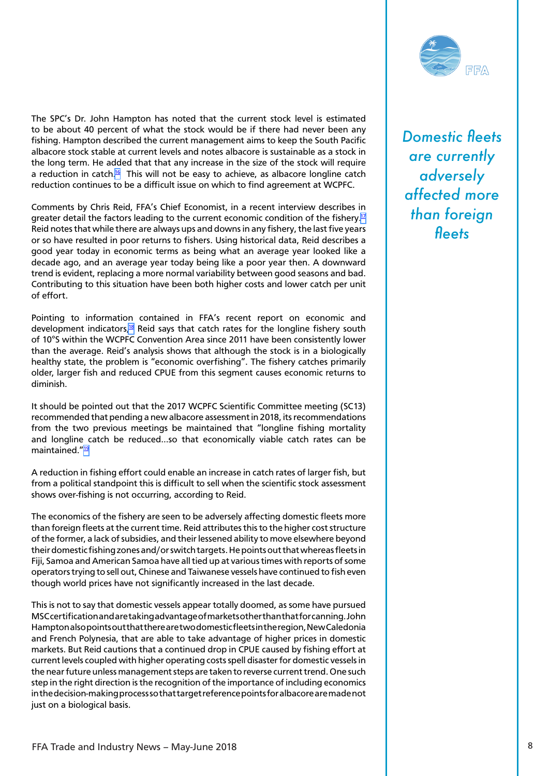<span id="page-7-0"></span>The SPC's Dr. John Hampton has noted that the current stock level is estimated to be about 40 percent of what the stock would be if there had never been any fishing. Hampton described the current management aims to keep the South Pacific albacore stock stable at current levels and notes albacore is sustainable as a stock in the long term. He added that that any increase in the size of the stock will require a reduction in catch.<sup>16</sup> This will not be easy to achieve, as albacore longline catch reduction continues to be a difficult issue on which to find agreement at WCPFC.

Comments by Chris Reid, FFA's Chief Economist, in a recent interview describes in greater detail the factors leading to the current economic condition of the fishery.<sup>17</sup> Reid notes that while there are always ups and downs in any fishery, the last five years or so have resulted in poor returns to fishers. Using historical data, Reid describes a good year today in economic terms as being what an average year looked like a decade ago, and an average year today being like a poor year then. A downward trend is evident, replacing a more normal variability between good seasons and bad. Contributing to this situation have been both higher costs and lower catch per unit of effort.

Pointing to information contained in FFA's recent report on economic and development indicators[,18](#page-15-0) Reid says that catch rates for the longline fishery south of 10°S within the WCPFC Convention Area since 2011 have been consistently lower than the average. Reid's analysis shows that although the stock is in a biologically healthy state, the problem is "economic overfishing". The fishery catches primarily older, larger fish and reduced CPUE from this segment causes economic returns to diminish.

It should be pointed out that the 2017 WCPFC Scientific Committee meeting (SC13) recommended that pending a new albacore assessment in 2018, its recommendations from the two previous meetings be maintained that "longline fishing mortality and longline catch be reduced…so that economically viable catch rates can be maintained."<sup>19</sup>

A reduction in fishing effort could enable an increase in catch rates of larger fish, but from a political standpoint this is difficult to sell when the scientific stock assessment shows over-fishing is not occurring, according to Reid.

The economics of the fishery are seen to be adversely affecting domestic fleets more than foreign fleets at the current time. Reid attributes this to the higher cost structure of the former, a lack of subsidies, and their lessened ability to move elsewhere beyond their domestic fishing zones and/or switch targets. He points out that whereas fleets in Fiji, Samoa and American Samoa have all tied up at various times with reports of some operators trying to sell out, Chinese and Taiwanese vessels have continued to fish even though world prices have not significantly increased in the last decade.

This is not to say that domestic vessels appear totally doomed, as some have pursued MSC certification and are taking advantage of markets other than that for canning. John Hampton also points out that there are two domestic fleets in the region, New Caledonia and French Polynesia, that are able to take advantage of higher prices in domestic markets. But Reid cautions that a continued drop in CPUE caused by fishing effort at current levels coupled with higher operating costs spell disaster for domestic vessels in the near future unless management steps are taken to reverse current trend. One such step in the right direction is the recognition of the importance of including economics in the decision-making process so that target reference points for albacore are made not just on a biological basis.



*Domestic fleets are currently adversely affected more than foreign fleets*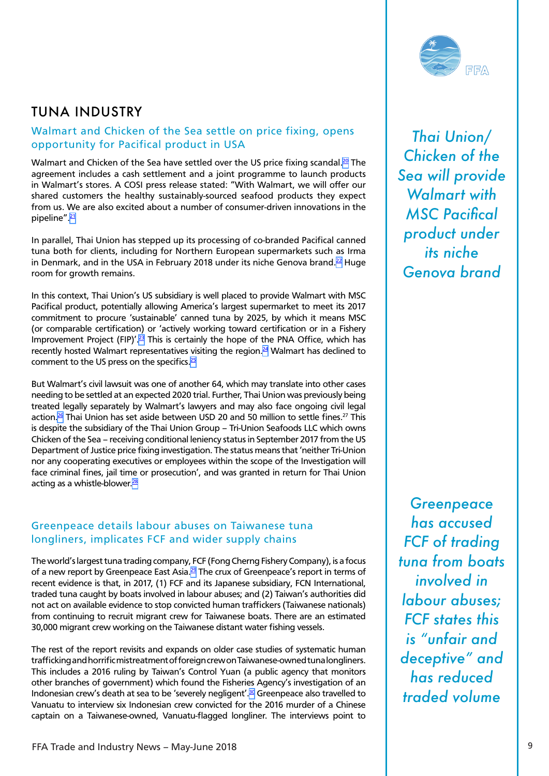# <span id="page-8-0"></span>TUNA INDUSTRY

### Walmart and Chicken of the Sea settle on price fixing, opens opportunity for Pacifical product in USA

Walmart and Chicken of the Sea have settled over the US price fixing scandal.<sup>20</sup> The agreement includes a cash settlement and a joint programme to launch products in Walmart's stores. A COSI press release stated: "With Walmart, we will offer our shared customers the healthy sustainably-sourced seafood products they expect from us. We are also excited about a number of consumer-driven innovations in the pipeline".<sup>[21](#page-16-0)</sup>

In parallel, Thai Union has stepped up its processing of co-branded Pacifical canned tuna both for clients, including for Northern European supermarkets such as Irma in Denmark, and in the USA in February 2018 under its niche Genova brand. $^{22}$  Huge room for growth remains.

In this context, Thai Union's US subsidiary is well placed to provide Walmart with MSC Pacifical product, potentially allowing America's largest supermarket to meet its 2017 commitment to procure 'sustainable' canned tuna by 2025, by which it means MSC (or comparable certification) or 'actively working toward certification or in a Fishery Improvement Project (FIP)'.<sup>23</sup> This is certainly the hope of the PNA Office, which has recently hosted Walmart representatives visiting the region.<sup>24</sup> Walmart has declined to comment to the US press on the specifics.<sup>25</sup>

But Walmart's civil lawsuit was one of another 64, which may translate into other cases needing to be settled at an expected 2020 trial. Further, Thai Union was previously being treated legally separately by Walmart's lawyers and may also face ongoing civil legal action.<sup>26</sup> Thai Union has set aside between USD 20 and 50 million to settle fines.<sup>27</sup> This is despite the subsidiary of the Thai Union Group – Tri-Union Seafoods LLC which owns Chicken of the Sea – receiving conditional leniency status in September 2017 from the US Department of Justice price fixing investigation. The status means that 'neither Tri-Union nor any cooperating executives or employees within the scope of the Investigation will face criminal fines, jail time or prosecution', and was granted in return for Thai Union acting as a whistle-blower.<sup>28</sup>

#### Greenpeace details labour abuses on Taiwanese tuna longliners, implicates FCF and wider supply chains

The world's largest tuna trading company, FCF (Fong Cherng Fishery Company), is a focus of a new report by Greenpeace East Asia.<sup>29</sup> The crux of Greenpeace's report in terms of recent evidence is that, in 2017, (1) FCF and its Japanese subsidiary, FCN International, traded tuna caught by boats involved in labour abuses; and (2) Taiwan's authorities did not act on available evidence to stop convicted human traffickers (Taiwanese nationals) from continuing to recruit migrant crew for Taiwanese boats. There are an estimated 30,000 migrant crew working on the Taiwanese distant water fishing vessels.

The rest of the report revisits and expands on older case studies of systematic human trafficking and horrific mistreatment of foreign crew on Taiwanese-owned tuna longliners. This includes a 2016 ruling by Taiwan's Control Yuan (a public agency that monitors other branches of government) which found the Fisheries Agency's investigation of an Indonesian crew's death at sea to be 'severely negligent'[.30](#page-16-0) Greenpeace also travelled to Vanuatu to interview six Indonesian crew convicted for the 2016 murder of a Chinese captain on a Taiwanese-owned, Vanuatu-flagged longliner. The interviews point to

*Greenpeace has accused FCF of trading tuna from boats involved in labour abuses; FCF states this is "unfair and deceptive" and has reduced traded volume*



*Thai Union/ Chicken of the Sea will provide Walmart with MSC Pacifical product under its niche Genova brand*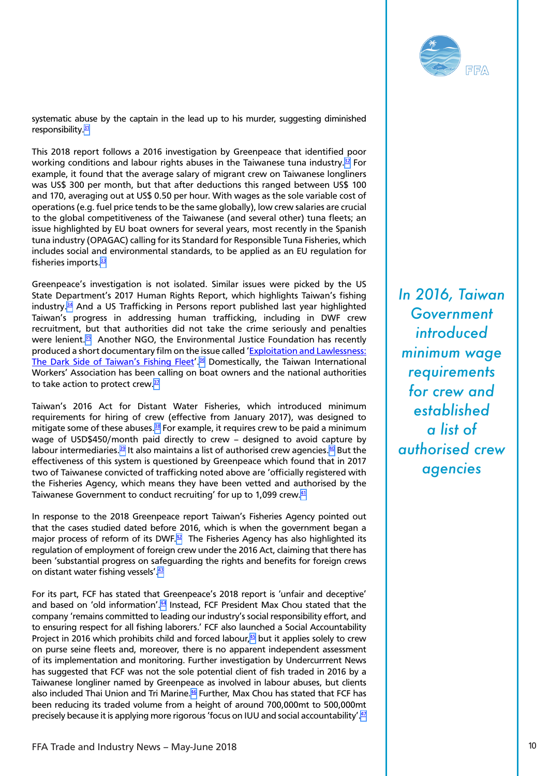

<span id="page-9-0"></span>systematic abuse by the captain in the lead up to his murder, suggesting diminished responsibility. $31$ 

This 2018 report follows a 2016 investigation by Greenpeace that identified poor working conditions and labour rights abuses in the Taiwanese tuna industry. $32$  For example, it found that the average salary of migrant crew on Taiwanese longliners was US\$ 300 per month, but that after deductions this ranged between US\$ 100 and 170, averaging out at US\$ 0.50 per hour. With wages as the sole variable cost of operations (e.g. fuel price tends to be the same globally), low crew salaries are crucial to the global competitiveness of the Taiwanese (and several other) tuna fleets; an issue highlighted by EU boat owners for several years, most recently in the Spanish tuna industry (OPAGAC) calling for its Standard for Responsible Tuna Fisheries, which includes social and environmental standards, to be applied as an EU regulation for fisheries imports. $33$ 

Greenpeace's investigation is not isolated. Similar issues were picked by the US State Department's 2017 Human Rights Report, which highlights Taiwan's fishing industry. $34$  And a US Trafficking in Persons report published last year highlighted Taiwan's progress in addressing human trafficking, including in DWF crew recruitment, but that authorities did not take the crime seriously and penalties were lenient.<sup>35</sup> Another NGO, the Environmental Justice Foundation has recently produced a short documentary film on the issue called ['Exploitation and Lawlessness:](https://vimeo.com/258117796/94fbd48276) [The Dark Side of Taiwan's Fishing Fleet'](https://vimeo.com/258117796/94fbd48276).<sup>36</sup> Domestically, the Taiwan International Workers' Association has been calling on boat owners and the national authorities to take action to protect crew.<sup>[37](#page-16-0)</sup>

Taiwan's 2016 Act for Distant Water Fisheries, which introduced minimum requirements for hiring of crew (effective from January 2017), was designed to mitigate some of these abuses.<sup>[38](#page-16-0)</sup> For example, it requires crew to be paid a minimum wage of USD\$450/month paid directly to crew – designed to avoid capture by labour intermediaries.<sup>[39](#page-16-0)</sup> It also maintains a list of authorised crew agencies.<sup>[40](#page-16-0)</sup> But the effectiveness of this system is questioned by Greenpeace which found that in 2017 two of Taiwanese convicted of trafficking noted above are 'officially registered with the Fisheries Agency, which means they have been vetted and authorised by the Taiwanese Government to conduct recruiting' for up to 1,099 crew.<sup>41</sup>

In response to the 2018 Greenpeace report Taiwan's Fisheries Agency pointed out that the cases studied dated before 2016, which is when the government began a major process of reform of its DWF.<sup>42</sup> The Fisheries Agency has also highlighted its regulation of employment of foreign crew under the 2016 Act, claiming that there has been 'substantial progress on safeguarding the rights and benefits for foreign crews on distant water fishing vessels'. 43

For its part, FCF has stated that Greenpeace's 2018 report is 'unfair and deceptive' and based on 'old information'.<sup>44</sup> Instead, FCF President Max Chou stated that the company 'remains committed to leading our industry's social responsibility effort, and to ensuring respect for all fishing laborers.' FCF also launched a Social Accountability Project in 2016 which prohibits child and forced labour, $45$  but it applies solely to crew on purse seine fleets and, moreover, there is no apparent independent assessment of its implementation and monitoring. Further investigation by Undercurrrent News has suggested that FCF was not the sole potential client of fish traded in 2016 by a Taiwanese longliner named by Greenpeace as involved in labour abuses, but clients also included Thai Union and Tri Marine.<sup>46</sup> Further, Max Chou has stated that FCF has been reducing its traded volume from a height of around 700,000mt to 500,000mt precisely because it is applying more rigorous 'focus on IUU and social accountability'.<sup>47</sup>

*In 2016, Taiwan Government introduced minimum wage requirements for crew and established a list of authorised crew agencies*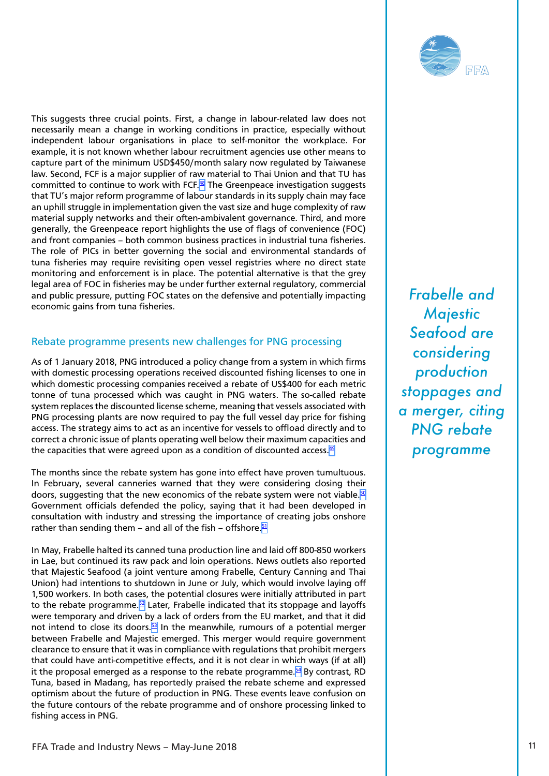<span id="page-10-0"></span>This suggests three crucial points. First, a change in labour-related law does not necessarily mean a change in working conditions in practice, especially without independent labour organisations in place to self-monitor the workplace. For example, it is not known whether labour recruitment agencies use other means to capture part of the minimum USD\$450/month salary now regulated by Taiwanese law. Second, FCF is a major supplier of raw material to Thai Union and that TU has committed to continue to work with FCF. $48$  The Greenpeace investigation suggests that TU's major reform programme of labour standards in its supply chain may face an uphill struggle in implementation given the vast size and huge complexity of raw material supply networks and their often-ambivalent governance. Third, and more generally, the Greenpeace report highlights the use of flags of convenience (FOC) and front companies – both common business practices in industrial tuna fisheries. The role of PICs in better governing the social and environmental standards of tuna fisheries may require revisiting open vessel registries where no direct state monitoring and enforcement is in place. The potential alternative is that the grey legal area of FOC in fisheries may be under further external regulatory, commercial and public pressure, putting FOC states on the defensive and potentially impacting economic gains from tuna fisheries.

#### Rebate programme presents new challenges for PNG processing

As of 1 January 2018, PNG introduced a policy change from a system in which firms with domestic processing operations received discounted fishing licenses to one in which domestic processing companies received a rebate of US\$400 for each metric tonne of tuna processed which was caught in PNG waters. The so-called rebate system replaces the discounted license scheme, meaning that vessels associated with PNG processing plants are now required to pay the full vessel day price for fishing access. The strategy aims to act as an incentive for vessels to offload directly and to correct a chronic issue of plants operating well below their maximum capacities and the capacities that were agreed upon as a condition of discounted access.  $49$ 

The months since the rebate system has gone into effect have proven tumultuous. In February, several canneries warned that they were considering closing their doors, suggesting that the new economics of the rebate system were not viable. $50$ Government officials defended the policy, saying that it had been developed in consultation with industry and stressing the importance of creating jobs onshore rather than sending them – and all of the fish – offshore. $51$ 

In May, Frabelle halted its canned tuna production line and laid off 800-850 workers in Lae, but continued its raw pack and loin operations. News outlets also reported that Majestic Seafood (a joint venture among Frabelle, Century Canning and Thai Union) had intentions to shutdown in June or July, which would involve laying off 1,500 workers. In both cases, the potential closures were initially attributed in part to the rebate programme. $52$  Later, Frabelle indicated that its stoppage and layoffs were temporary and driven by a lack of orders from the EU market, and that it did not intend to close its doors. $53$  In the meanwhile, rumours of a potential merger between Frabelle and Majestic emerged. This merger would require government clearance to ensure that it was in compliance with regulations that prohibit mergers that could have anti-competitive effects, and it is not clear in which ways (if at all) it the proposal emerged as a response to the rebate programme.<sup>54</sup> By contrast, RD Tuna, based in Madang, has reportedly praised the rebate scheme and expressed optimism about the future of production in PNG. These events leave confusion on the future contours of the rebate programme and of onshore processing linked to fishing access in PNG.

*Frabelle and Majestic Seafood are considering production stoppages and a merger, citing PNG rebate programme*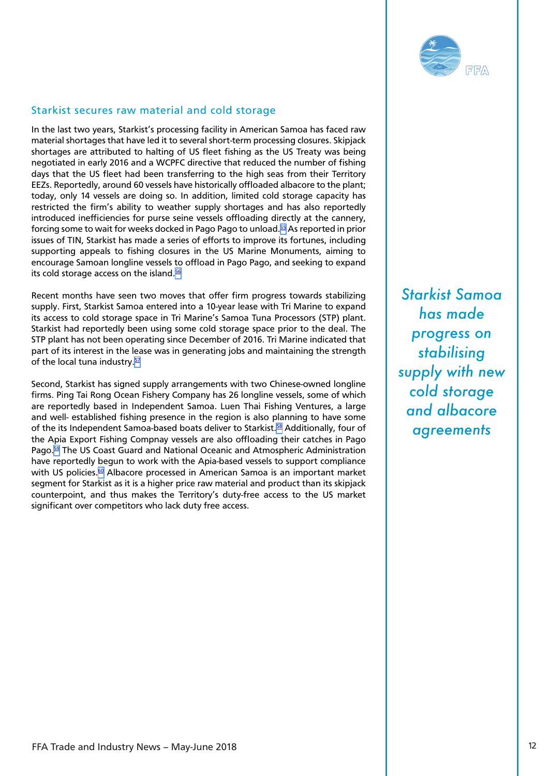

### <span id="page-11-0"></span>Starkist secures raw material and cold storage

In the last two years, Starkist's processing facility in American Samoa has faced raw material shortages that have led it to several short-term processing closures. Skipjack shortages are attributed to halting of US fleet fishing as the US Treaty was being negotiated in early 2016 and a WCPFC directive that reduced the number of fishing days that the US fleet had been transferring to the high seas from their Territory EEZs. Reportedly, around 60 vessels have historically offloaded albacore to the plant; today, only 14 vessels are doing so. In addition, limited cold storage capacity has restricted the firm's ability to weather supply shortages and has also reportedly introduced inefficiencies for purse seine vessels offloading directly at the cannery, forcing some to wait for weeks docked in Pago Pago to unload[.55](#page-17-0) As reported in prior issues of TIN, Starkist has made a series of efforts to improve its fortunes, including supporting appeals to fishing closures in the US Marine Monuments, aiming to encourage Samoan longline vessels to offload in Pago Pago, and seeking to expand its cold storage access on the island.<sup>56</sup>

Recent months have seen two moves that offer firm progress towards stabilizing supply. First, Starkist Samoa entered into a 10-year lease with Tri Marine to expand its access to cold storage space in Tri Marine's Samoa Tuna Processors (STP) plant. Starkist had reportedly been using some cold storage space prior to the deal. The STP plant has not been operating since December of 2016. Tri Marine indicated that part of its interest in the lease was in generating jobs and maintaining the strength of the local tuna industry.<sup>[57](#page-17-0)</sup>

Second, Starkist has signed supply arrangements with two Chinese-owned longline firms. Ping Tai Rong Ocean Fishery Company has 26 longline vessels, some of which are reportedly based in Independent Samoa. Luen Thai Fishing Ventures, a large and well- established fishing presence in the region is also planning to have some of the its Independent Samoa-based boats deliver to Starkist.<sup>[58](#page-17-0)</sup> Additionally, four of the Apia Export Fishing Compnay vessels are also offloading their catches in Pago Pago[.59](#page-17-0) The US Coast Guard and National Oceanic and Atmospheric Administration have reportedly begun to work with the Apia-based vessels to support compliance with US policies.<sup>60</sup> Albacore processed in American Samoa is an important market segment for Starkist as it is a higher price raw material and product than its skipjack counterpoint, and thus makes the Territory's duty-free access to the US market significant over competitors who lack duty free access.

*Starkist Samoa has made progress on stabilising supply with new cold storage and albacore agreements*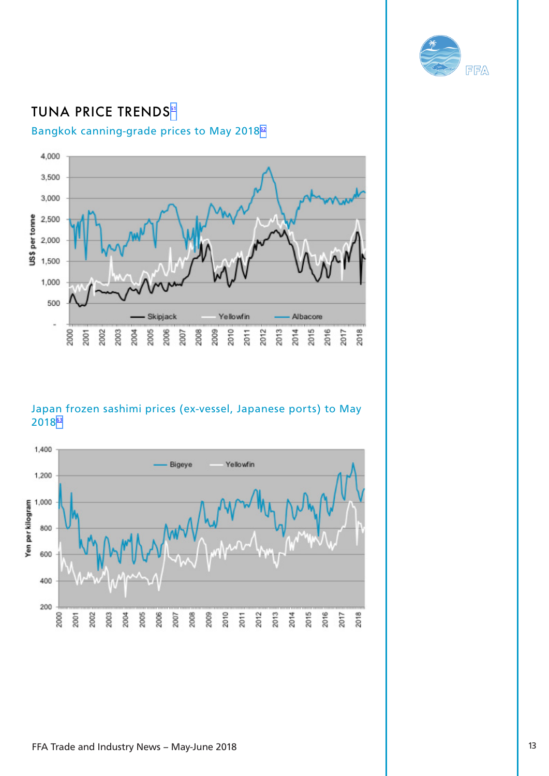

# <span id="page-12-0"></span>**TUNA PRICE TRENDS<sup>[61](#page-17-0)</sup>**

### Bangkok canning-grade prices to May 2018<sup>[62](#page-17-0)</sup>



### Japan frozen sashimi prices (ex-vessel, Japanese ports) to May 2018[63](#page-17-0)

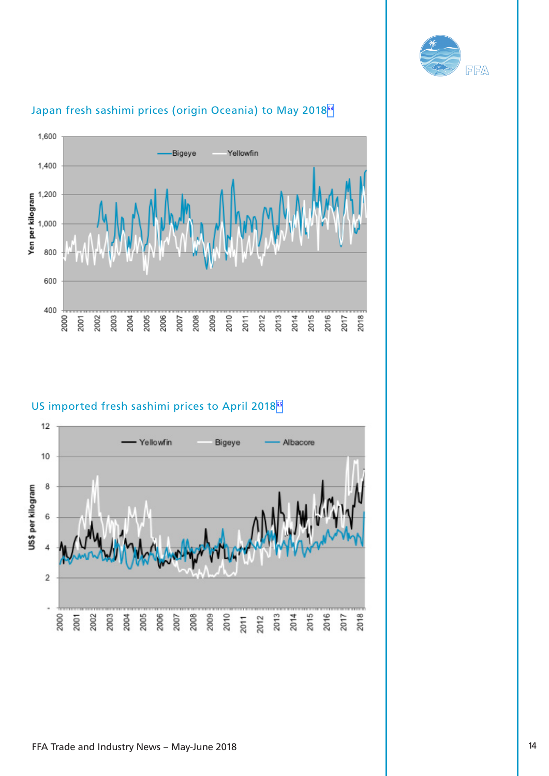



### Japan fresh sashimi prices (origin Oceania) to May 2018<sup>[64](#page-17-0)</sup>

### US imported fresh sashimi prices to April 2018<sup>[65](#page-17-0)</sup>

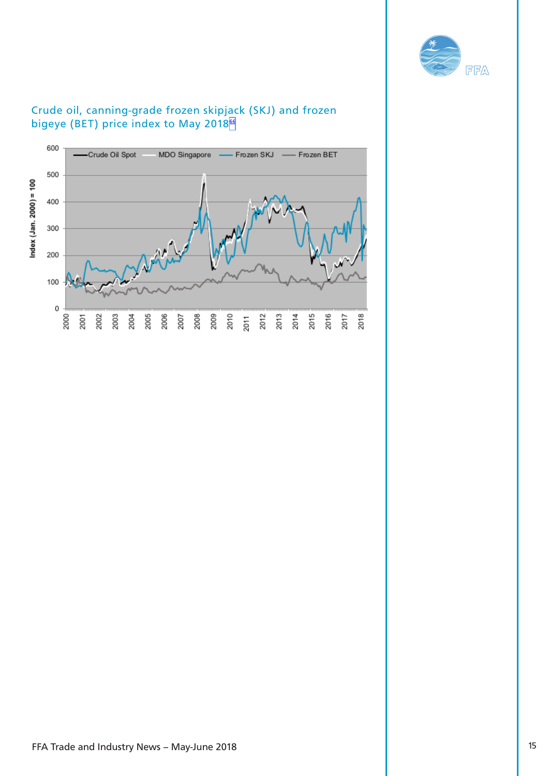

<span id="page-14-0"></span>

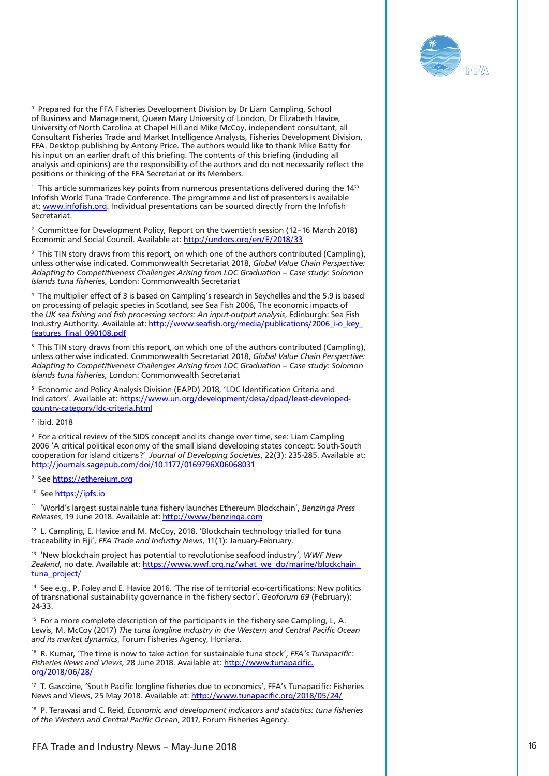

<span id="page-15-0"></span>F Packing that the state of the fille of the state of the state of the state of the state of the state of the state of the state of the state of the state of the state of the state of the state of the state of the state o  $\degree$  Prepared for the FFA Fisheries Development Division by Dr Liam Campling, School of Business and Management, Queen Mary University of London, Dr Elizabeth Havice, University of North Carolina at Chapel Hill and Mike McCoy, independent consultant, all Consultant Fisheries Trade and Market Intelligence Analysts, Fisheries Development Division, FFA. Desktop publishing by Antony Price. The authors would like to thank Mike Batty for his input on an earlier draft of this briefing. The contents of this briefing (including all analysis and opinions) are the responsibility of the authors and do not necessarily reflect the positions or thinking of the FFA Secretariat or its Members.

 $^{\rm 1}$  This article summarizes key points from numerous presentations delivered during the 14th Infofish World Tuna Trade Conference. The programme and list of presenters is available at: [www.infofish.org.](http://www.infofish.org) Individual presentations can be sourced directly from the Infofish Secretariat.

<sup>2</sup> Committee for Development Policy, Report on the twentieth session (12–16 March 2018) Economic and Social Council. Available at:<http://undocs.org/en/E/2018/33>

<sup>[3](#page-3-0)</sup> This TIN story draws from this report, on which one of the authors contributed (Campling), unless otherwise indicated. Commonwealth Secretariat 2018, *Global Value Chain Perspective: Adapting to Competitiveness Challenges Arising from LDC Graduation – Case study: Solomon Islands tuna fisherie*s, London: Commonwealth Secretariat

[4](#page-3-0) The multiplier effect of 3 is based on Campling's research in Seychelles and the 5.9 is based on processing of pelagic species in Scotland, see Sea Fish 2006, The economic impacts of the *UK sea fishing and fish processing sectors: An input-output analysis*, Edinburgh: Sea Fish Industry Authority. Available at: [http://www.seafish.org/media/publications/2006\\_i-o\\_key\\_](http://www.seafish.org/media/publications/2006_i-o_key_features_final_090108.pdf) [features\\_final\\_090108.pdf](http://www.seafish.org/media/publications/2006_i-o_key_features_final_090108.pdf)

 $5$  This TIN story draws from this report, on which one of the authors contributed (Campling), unless otherwise indicated. Commonwealth Secretariat 2018, *Global Value Chain Perspective: Adapting to Competitiveness Challenges Arising from LDC Graduation – Case study: Solomon Islands tuna fisheries*, London: Commonwealth Secretariat

[6](#page-3-0) Economic and Policy Analysis Division (EAPD) 2018, 'LDC Identification Criteria and Indicators'. Available at: [https://www.un.org/development/desa/dpad/least-developed](https://www.un.org/development/desa/dpad/least-developed-country-category/ldc-criteria.html)[country-category/ldc-criteria.html](https://www.un.org/development/desa/dpad/least-developed-country-category/ldc-criteria.html)

[7](#page-4-0) ibid. 2018

[8](#page-4-0) For a critical review of the SIDS concept and its change over time, see: Liam Campling 2006 'A critical political economy of the small island developing states concept: South-South cooperation for island citizens?' *Journal of Developing Societies*, 22(3): 235-285. Available at: <http://journals.sagepub.com/doi/10.1177/0169796X06068031>

<sup>[9](#page-5-0)</sup> See <u>https://ethereium.org</u>

<sup>[10](#page-5-0)</sup> See <https://ipfs.io>

[11](#page-6-0) 'World's largest sustainable tuna fishery launches Ethereum Blockchain', *Benzinga Press Releases*, 19 June 2018. Available at:<http://www/benzinga.com>

<sup>[12](#page-6-0)</sup> L. Campling, E. Havice and M. McCoy, 2018. 'Blockchain technology trialled for tuna traceability in Fiji', *FFA Trade and Industry News*, 11(1): January-February.

[13](#page-6-0) 'New blockchain project has potential to revolutionise seafood industry', *WWF New*  Zealand, no date. Available at: [https://www.wwf.org.nz/what\\_we\\_do/marine/blockchain\\_](https://www.wwf.org.nz/what_we_do/marine/blockchain_tuna_project/) [tuna\\_project/](https://www.wwf.org.nz/what_we_do/marine/blockchain_tuna_project/)

<sup>[14](#page-6-0)</sup> See e.g., P. Foley and E. Havice 2016. 'The rise of territorial eco-certifications: New politics of transnational sustainability governance in the fishery sector'. *Geoforum 69* (February): 24-33.

 $15$  For a more complete description of the participants in the fishery see Campling, L, A. Lewis, M. McCoy (2017) *The tuna longline industry in the Western and Central Pacific Ocean and its market dynamics*, Forum Fisheries Agency, Honiara.

[16](#page-7-0) R. Kumar, 'The time is now to take action for sustainable tuna stock', *FFA's Tunapacific: Fisheries News and Views*, 28 June 2018. Available at: [http://www.tunapacific.](http://www.tunapacific.org/2018/06/28/) [org/2018/06/28/](http://www.tunapacific.org/2018/06/28/)

<sup>[17](#page-7-0)</sup> T. Gascoine, 'South Pacific longline fisheries due to economics', FFA's Tunapacific: Fisheries News and Views, 25 May 2018. Available at: <http://www.tunapacific.org/2018/05/24/>

[18](#page-7-0) P. Terawasi and C. Reid, *Economic and development indicators and statistics: tuna fisheries of the Western and Central Pacific Ocean*, 2017, Forum Fisheries Agency.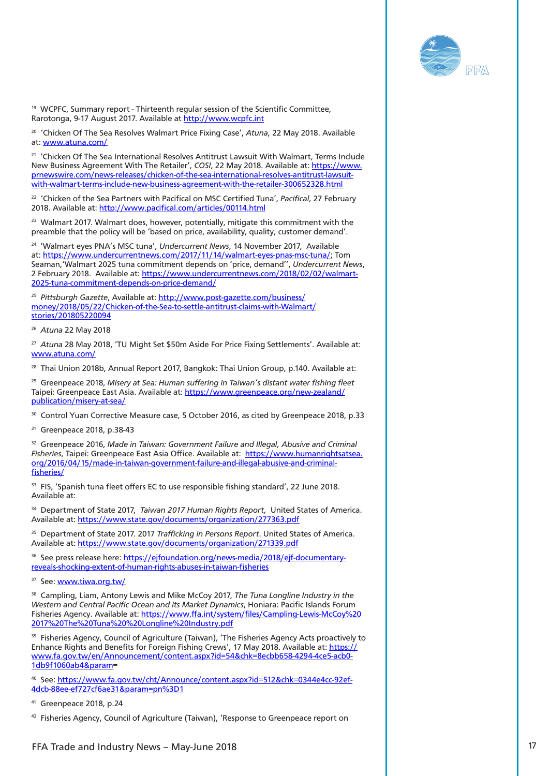

<span id="page-16-0"></span>[19](#page-7-0) WCPFC, Summary report - Thirteenth regular session of the Scientific Committee, Rarotonga, 9-17 August 2017. Available at<http://www.wcpfc.int>

[20](#page-8-0) 'Chicken Of The Sea Resolves Walmart Price Fixing Case', *Atuna*, 22 May 2018. Available at: [www.atuna.com/](http://www.atuna.com/)

<sup>[21](#page-8-0)</sup> 'Chicken Of The Sea International Resolves Antitrust Lawsuit With Walmart, Terms Include New Business Agreement With The Retailer', *COSI*, 22 May 2018. Available at: [https://www.](https://www.prnewswire.com/news-releases/chicken-of-the-sea-international-resolves-antitrust-lawsuit-with-walmart-terms-include-new-business-agreement-with-the-retailer-300652328.html) [prnewswire.com/news-releases/chicken-of-the-sea-international-resolves-antitrust-lawsuit](https://www.prnewswire.com/news-releases/chicken-of-the-sea-international-resolves-antitrust-lawsuit-with-walmart-terms-include-new-business-agreement-with-the-retailer-300652328.html)[with-walmart-terms-include-new-business-agreement-with-the-retailer-300652328.html](https://www.prnewswire.com/news-releases/chicken-of-the-sea-international-resolves-antitrust-lawsuit-with-walmart-terms-include-new-business-agreement-with-the-retailer-300652328.html)

[22](#page-8-0) 'Chicken of the Sea Partners with Pacifical on MSC Certified Tuna', *Pacifical*, 27 February 2018. Available at: <http://www.pacifical.com/articles/00114.html>

<sup>23</sup> Walmart 2017. Walmart does, however, potentially, mitigate this commitment with the preamble that the policy will be 'based on price, availability, quality, customer demand'.

[24](#page-8-0) 'Walmart eyes PNA's MSC tuna', *Undercurrent News*, 14 November 2017, Available at: [https://www.undercurrentnews.com/2017/11/14/walmart-eyes-pnas-msc-tuna/;](https://www.undercurrentnews.com/2017/11/14/walmart-eyes-pnas-msc-tuna/) Tom Seaman,'Walmart 2025 tuna commitment depends on 'price, demand'', *Undercurrent News*, 2 February 2018. Available at: [https://www.undercurrentnews.com/2018/02/02/walmart-](https://www.undercurrentnews.com/2018/02/02/walmart-2025-tuna-commitment-depends-on-price-demand/)[2025-tuna-commitment-depends-on-price-demand/](https://www.undercurrentnews.com/2018/02/02/walmart-2025-tuna-commitment-depends-on-price-demand/)

[25](#page-8-0) *Pittsburgh Gazette*, Available at: [http://www.post-gazette.com/business/](http://www.post-gazette.com/business/money/2018/05/22/Chicken-of-the-Sea-to-settle-antitrust-claims-with-Walmart/stories/201805220094) [money/2018/05/22/Chicken-of-the-Sea-to-settle-antitrust-claims-with-Walmart/](http://www.post-gazette.com/business/money/2018/05/22/Chicken-of-the-Sea-to-settle-antitrust-claims-with-Walmart/stories/201805220094) [stories/201805220094](http://www.post-gazette.com/business/money/2018/05/22/Chicken-of-the-Sea-to-settle-antitrust-claims-with-Walmart/stories/201805220094)

[26](#page-8-0) *Atuna* 22 May 2018

[27](#page-8-0) *Atuna* 28 May 2018, 'TU Might Set \$50m Aside For Price Fixing Settlements'. Available at: [www.atuna.com/](http://www.atuna.com/)

<sup>28</sup> Thai Union 2018b, Annual Report 2017, Bangkok: Thai Union Group, p.140. Available at:

[29](#page-8-0) Greenpeace 2018, *Misery at Sea: Human suffering in Taiwan's distant water fishing fleet* Taipei: Greenpeace East Asia. Available at: [https://www.greenpeace.org/new-zealand/](https://www.greenpeace.org/new-zealand/publication/misery-at-sea/) [publication/misery-at-sea/](https://www.greenpeace.org/new-zealand/publication/misery-at-sea/)

<sup>30</sup> Control Yuan Corrective Measure case, 5 October 2016, as cited by Greenpeace 2018, p.33

[31](#page-9-0) Greenpeace 2018, p.38-43

<sup>32</sup> Greenpeace 2016, Made in Taiwan: Government Failure and Illegal, Abusive and Criminal *Fisheries*, Taipei: Greenpeace East Asia Office. Available at: [https://www.humanrightsatsea.](https://www.humanrightsatsea.org/2016/04/15/made-in-taiwan-government-failure-and-illegal-abusive-and-criminal-fisheries/) [org/2016/04/15/made-in-taiwan-government-failure-and-illegal-abusive-and-criminal](https://www.humanrightsatsea.org/2016/04/15/made-in-taiwan-government-failure-and-illegal-abusive-and-criminal-fisheries/)[fisheries/](https://www.humanrightsatsea.org/2016/04/15/made-in-taiwan-government-failure-and-illegal-abusive-and-criminal-fisheries/)

<sup>33</sup> FIS, 'Spanish tuna fleet offers EC to use responsible fishing standard', 22 June 2018. Available at:

[34](#page-9-0) Department of State 2017, *Taiwan 2017 Human Rights Report,* United States of America. Available at:<https://www.state.gov/documents/organization/277363.pdf>

[35](#page-9-0) Department of State 2017. 2017 *Trafficking in Persons Report*. United States of America. Available at:<https://www.state.gov/documents/organization/271339.pdf>

See press release here: [https://ejfoundation.org/news-media/2018/ejf-documentary](https://ejfoundation.org/news-media/2018/ejf-documentary-reveals-shocking-extent-of-human-rights-abuses-in-taiwan-fisheries)[reveals-shocking-extent-of-human-rights-abuses-in-taiwan-fisheries](https://ejfoundation.org/news-media/2018/ejf-documentary-reveals-shocking-extent-of-human-rights-abuses-in-taiwan-fisheries)

[37](#page-9-0) See: [www.tiwa.org.tw/](http://www.tiwa.org.tw/)

[38](#page-9-0) Campling, Liam, Antony Lewis and Mike McCoy 2017, *The Tuna Longline Industry in the Western and Central Pacific Ocean and its Market Dynamics*, Honiara: Pacific Islands Forum Fisheries Agency. Available at: [https://www.ffa.int/system/files/Campling-Lewis-McCoy%20](https://www.ffa.int/system/files/Campling-Lewis-McCoy%202017%20The%20Tuna%20%20Longline%20Industry.pdf) [2017%20The%20Tuna%20%20Longline%20Industry.pdf](https://www.ffa.int/system/files/Campling-Lewis-McCoy%202017%20The%20Tuna%20%20Longline%20Industry.pdf)

<sup>39</sup> Fisheries Agency, Council of Agriculture (Taiwan), 'The Fisheries Agency Acts proactively to Enhance Rights and Benefits for Foreign Fishing Crews', 17 May 2018. Available at: [https://](https://www.fa.gov.tw/en/Announcement/content.aspx?id=54&chk=8ecbb658-4294-4ce5-acb0-1db9f1060ab4¶m) [www.fa.gov.tw/en/Announcement/content.aspx?id=54&chk=8ecbb658-4294-4ce5-acb0-](https://www.fa.gov.tw/en/Announcement/content.aspx?id=54&chk=8ecbb658-4294-4ce5-acb0-1db9f1060ab4¶m)  $1$ db $9f1060$ ab4&param=

[40](#page-9-0) See: [https://www.fa.gov.tw/cht/Announce/content.aspx?id=512&chk=0344e4cc-92ef-](https://www.fa.gov.tw/cht/Announce/content.aspx?id=512&chk=0344e4cc-92ef-4dcb-88ee-ef727cf6ae31¶m=pn%3D1)[4dcb-88ee-ef727cf6ae31&param=pn%3D1](https://www.fa.gov.tw/cht/Announce/content.aspx?id=512&chk=0344e4cc-92ef-4dcb-88ee-ef727cf6ae31¶m=pn%3D1)

[41](#page-9-0) Greenpeace 2018, p.24

[42](#page-9-0) Fisheries Agency, Council of Agriculture (Taiwan), 'Response to Greenpeace report on